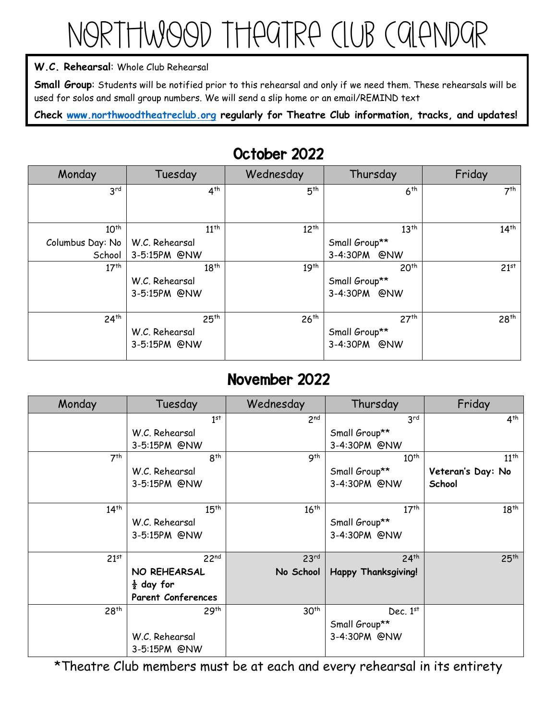# Northwood Theatre Club Calendar

#### **W.C. Rehearsal**: Whole Club Rehearsal

**Small Group**: Students will be notified prior to this rehearsal and only if we need them. These rehearsals will be used for solos and small group numbers. We will send a slip home or an email/REMIND text

**Check [www.northwoodtheatreclub.org](http://www.northwoodtheatreclub.org/) regularly for Theatre Club information, tracks, and updates!**

| Monday           | Tuesday          | Wednesday        | Thursday         | Friday           |
|------------------|------------------|------------------|------------------|------------------|
| 3 <sup>rd</sup>  | 4 <sup>th</sup>  | 5 <sup>th</sup>  | 6 <sup>th</sup>  | 7 <sup>th</sup>  |
|                  |                  |                  |                  |                  |
| $10^{th}$        | $11^{th}$        | $12^{th}$        | 13 <sup>th</sup> | $14^{th}$        |
| Columbus Day: No | W.C. Rehearsal   |                  | Small Group**    |                  |
| School           | 3-5:15PM @NW     |                  | 3-4:30PM @NW     |                  |
| 17 <sup>th</sup> | $18^{th}$        | 19 <sup>th</sup> | 20 <sup>th</sup> | 21 <sup>st</sup> |
|                  | W.C. Rehearsal   |                  | Small Group**    |                  |
|                  | 3-5:15PM @NW     |                  | 3-4:30PM @NW     |                  |
| 24 <sup>th</sup> | 25 <sup>th</sup> | 26 <sup>th</sup> | 27 <sup>th</sup> | 28 <sup>th</sup> |
|                  | W.C. Rehearsal   |                  | Small Group**    |                  |
|                  | 3-5:15PM @NW     |                  | 3-4:30PM @NW     |                  |

### October 2022

### November 2022

| Monday           | Tuesday                   | Wednesday        | Thursday                   | Friday            |
|------------------|---------------------------|------------------|----------------------------|-------------------|
|                  | 1 <sup>st</sup>           | 2 <sub>nd</sub>  | 3 <sup>rd</sup>            | 4 <sup>th</sup>   |
|                  | W.C. Rehearsal            |                  | Small Group**              |                   |
|                  | 3-5:15PM @NW              |                  | 3-4:30PM @NW               |                   |
| 7 <sup>th</sup>  | 8 <sup>th</sup>           | 9 <sup>th</sup>  | $10^{th}$                  | $11^{th}$         |
|                  | W.C. Rehearsal            |                  | Small Group**              | Veteran's Day: No |
|                  | 3-5:15PM @NW              |                  | 3-4:30PM @NW               | School            |
|                  |                           |                  |                            |                   |
| $14^{th}$        | 15 <sup>th</sup>          | 16 <sup>th</sup> | 17 <sup>th</sup>           | $18^{th}$         |
|                  | W.C. Rehearsal            |                  | Small Group**              |                   |
|                  | 3-5:15PM @NW              |                  | 3-4:30PM @NW               |                   |
|                  |                           |                  |                            |                   |
| 21 <sup>st</sup> | 22 <sup>nd</sup>          | 23 <sup>rd</sup> | 24 <sup>th</sup>           | 25 <sup>th</sup>  |
|                  | NO REHEARSAL              | No School        | <b>Happy Thanksgiving!</b> |                   |
|                  | $\frac{1}{2}$ day for     |                  |                            |                   |
|                  | <b>Parent Conferences</b> |                  |                            |                   |
| 28 <sup>th</sup> | 29 <sup>th</sup>          | 30 <sup>th</sup> | Dec. $1st$                 |                   |
|                  |                           |                  | Small Group**              |                   |
|                  | W.C. Rehearsal            |                  | 3-4:30PM @NW               |                   |
|                  | 3-5:15PM @NW              |                  |                            |                   |

\*Theatre Club members must be at each and every rehearsal in its entirety